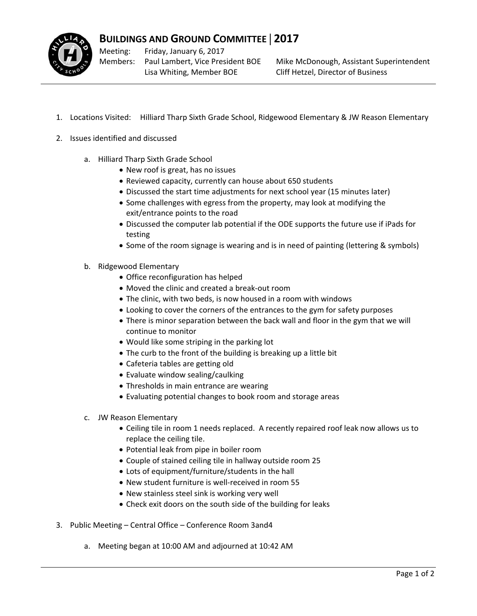

Meeting: Members: Friday, January 6, 2017 Paul Lambert, Vice President BOE Lisa Whiting, Member BOE

Mike McDonough, Assistant Superintendent Cliff Hetzel, Director of Business

- 1. Locations Visited: Hilliard Tharp Sixth Grade School, Ridgewood Elementary & JW Reason Elementary
- 2. Issues identified and discussed
	- a. Hilliard Tharp Sixth Grade School
		- New roof is great, has no issues
		- Reviewed capacity, currently can house about 650 students
		- Discussed the start time adjustments for next school year (15 minutes later)
		- Some challenges with egress from the property, may look at modifying the exit/entrance points to the road
		- Discussed the computer lab potential if the ODE supports the future use if iPads for testing
		- Some of the room signage is wearing and is in need of painting (lettering & symbols)
	- b. Ridgewood Elementary
		- Office reconfiguration has helped
		- Moved the clinic and created a break‐out room
		- The clinic, with two beds, is now housed in a room with windows
		- Looking to cover the corners of the entrances to the gym for safety purposes
		- There is minor separation between the back wall and floor in the gym that we will continue to monitor
		- Would like some striping in the parking lot
		- The curb to the front of the building is breaking up a little bit
		- Cafeteria tables are getting old
		- Evaluate window sealing/caulking
		- Thresholds in main entrance are wearing
		- Evaluating potential changes to book room and storage areas
	- c. JW Reason Elementary
		- Ceiling tile in room 1 needs replaced. A recently repaired roof leak now allows us to replace the ceiling tile.
		- Potential leak from pipe in boiler room
		- Couple of stained ceiling tile in hallway outside room 25
		- Lots of equipment/furniture/students in the hall
		- New student furniture is well‐received in room 55
		- New stainless steel sink is working very well
		- Check exit doors on the south side of the building for leaks
- 3. Public Meeting Central Office Conference Room 3and4
	- a. Meeting began at 10:00 AM and adjourned at 10:42 AM